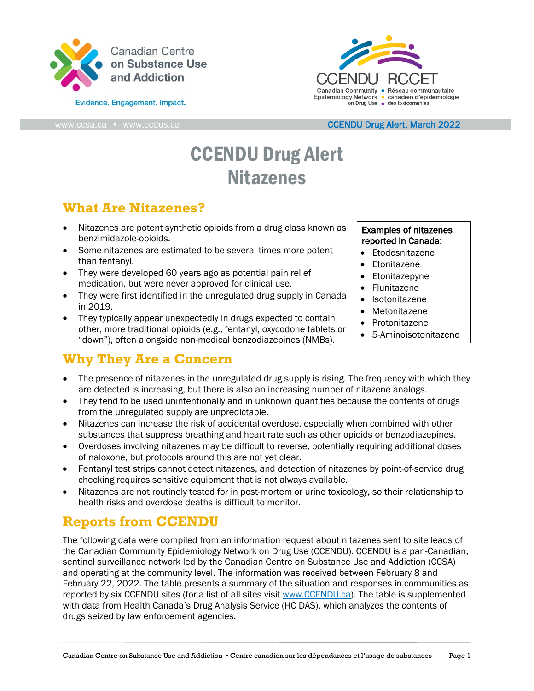

Evidence. Engagement. Impact.



#### [www.ccsa.ca](http://www.ccsa.ca/) • www.ccdus.ca [CCENDU D](http://www.ccsa.ca/)rug Alert, March 2022

# CCENDU Drug Alert Nitazenes

### **What Are Nitazenes?**

- Nitazenes are potent synthetic opioids from a drug class known as benzimidazole-opioids.
- Some nitazenes are estimated to be several times more potent than fentanyl.
- They were developed 60 years ago as potential pain relief medication, but were never approved for clinical use.
- They were first identified in the unregulated drug supply in Canada in 2019.
- They typically appear unexpectedly in drugs expected to contain other, more traditional opioids (e.g., fentanyl, oxycodone tablets or "down"), often alongside [non-medical benzodiazepines \(NMBs\).](https://www.ccsa.ca/risks-and-harms-associated-nonmedical-use-benzodiazepines-unregulated-drug-supply-canada-ccendu)

# **Why They Are a Concern**

#### Examples of nitazenes reported in Canada:

- Etodesnitazene
- Etonitazene
- **Etonitazepyne**
- Flunitazene
- **Isotonitazene**
- Metonitazene
- Protonitazene
- 5-Aminoisotonitazene
- The presence of nitazenes in the unregulated drug supply is rising. The frequency with which they are detected is increasing, but there is also an increasing number of nitazene analogs.
- They tend to be used unintentionally and in unknown quantities because the contents of drugs from the unregulated supply are unpredictable.
- Nitazenes can increase the risk of accidental overdose, especially when combined with other substances that suppress breathing and heart rate such as other opioids or benzodiazepines.
- Overdoses involving nitazenes may be difficult to reverse, potentially requiring additional doses of naloxone, but protocols around this are not yet clear.
- Fentanyl test strips cannot detect nitazenes, and detection of nitazenes by point-of-service drug checking requires sensitive equipment that is not always available.
- Nitazenes are not routinely tested for in post-mortem or urine toxicology, so their relationship to health risks and overdose deaths is difficult to monitor.

# **Reports from CCENDU**

The following data were compiled from an information request about nitazenes sent to site leads of the Canadian Community Epidemiology Network on Drug Use (CCENDU). CCENDU is a pan-Canadian, sentinel surveillance network led by the Canadian Centre on Substance Use and Addiction (CCSA) and operating at the community level. The information was received between February 8 and February 22, 2022. The table presents a summary of the situation and responses in communities as reported by six CCENDU sites (for a list of all sites visit [www.CCENDU.ca\)](http://www.ccendu.ca/). The table is supplemented with data from Health Canada's Drug Analysis Service (HC DAS), which analyzes the contents of drugs seized by law enforcement agencies.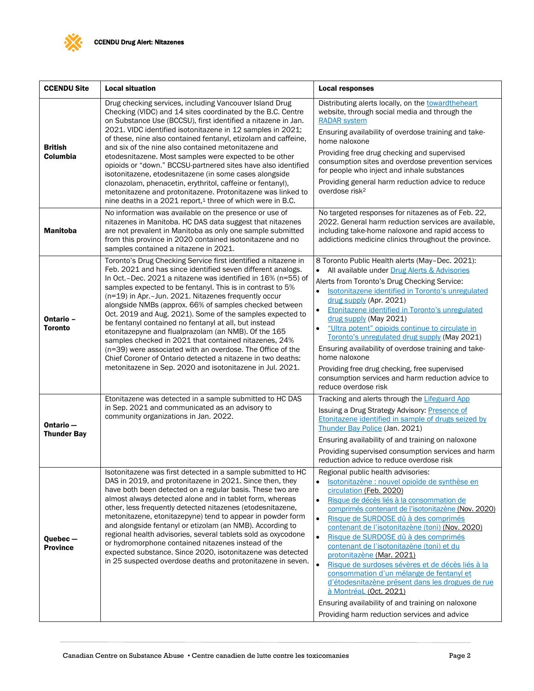

| <b>CCENDU Site</b>                 | <b>Local situation</b>                                                                                                                                                                                                                                                                                                                                                                                                                                                                                                                                                                                                                                                                                                                                                                                         | <b>Local responses</b>                                                                                                                                                                                                                                                                                                                                                                                                                                                                                                                                                                                                                                                                                                                                                |
|------------------------------------|----------------------------------------------------------------------------------------------------------------------------------------------------------------------------------------------------------------------------------------------------------------------------------------------------------------------------------------------------------------------------------------------------------------------------------------------------------------------------------------------------------------------------------------------------------------------------------------------------------------------------------------------------------------------------------------------------------------------------------------------------------------------------------------------------------------|-----------------------------------------------------------------------------------------------------------------------------------------------------------------------------------------------------------------------------------------------------------------------------------------------------------------------------------------------------------------------------------------------------------------------------------------------------------------------------------------------------------------------------------------------------------------------------------------------------------------------------------------------------------------------------------------------------------------------------------------------------------------------|
| <b>British</b><br>Columbia         | Drug checking services, including Vancouver Island Drug<br>Checking (VIDC) and 14 sites coordinated by the B.C. Centre<br>on Substance Use (BCCSU), first identified a nitazene in Jan.<br>2021. VIDC identified isotonitazene in 12 samples in 2021;<br>of these, nine also contained fentanyl, etizolam and caffeine,<br>and six of the nine also contained metonitazene and<br>etodesnitazene. Most samples were expected to be other<br>opioids or "down." BCCSU-partnered sites have also identified<br>isotonitazene, etodesnitazene (in some cases alongside<br>clonazolam, phenacetin, erythritol, caffeine or fentanyl),<br>metonitazene and protonitazene. Protonitazene was linked to<br>nine deaths in a 2021 report, <sup>1</sup> three of which were in B.C.                                     | Distributing alerts locally, on the towardtheheart<br>website, through social media and through the<br><b>RADAR system</b><br>Ensuring availability of overdose training and take-<br>home naloxone<br>Providing free drug checking and supervised<br>consumption sites and overdose prevention services<br>for people who inject and inhale substances<br>Providing general harm reduction advice to reduce<br>overdose risk <sup>2</sup>                                                                                                                                                                                                                                                                                                                            |
| <b>Manitoba</b>                    | No information was available on the presence or use of<br>nitazenes in Manitoba. HC DAS data suggest that nitazenes<br>are not prevalent in Manitoba as only one sample submitted<br>from this province in 2020 contained isotonitazene and no<br>samples contained a nitazene in 2021.                                                                                                                                                                                                                                                                                                                                                                                                                                                                                                                        | No targeted responses for nitazenes as of Feb. 22,<br>2022. General harm reduction services are available,<br>including take-home naloxone and rapid access to<br>addictions medicine clinics throughout the province.                                                                                                                                                                                                                                                                                                                                                                                                                                                                                                                                                |
| Ontario -<br><b>Toronto</b>        | Toronto's Drug Checking Service first identified a nitazene in<br>Feb. 2021 and has since identified seven different analogs.<br>In Oct.-Dec. 2021 a nitazene was identified in 16% (n=55) of<br>samples expected to be fentanyl. This is in contrast to 5%<br>(n=19) in Apr.-Jun. 2021. Nitazenes frequently occur<br>alongside NMBs (approx. 66% of samples checked between<br>Oct. 2019 and Aug. 2021). Some of the samples expected to<br>be fentanyl contained no fentanyl at all, but instead<br>etonitazepyne and flualprazolam (an NMB). Of the 165<br>samples checked in 2021 that contained nitazenes, 24%<br>(n=39) were associated with an overdose. The Office of the<br>Chief Coroner of Ontario detected a nitazene in two deaths:<br>metonitazene in Sep. 2020 and isotonitazene in Jul. 2021. | 8 Toronto Public Health alerts (May-Dec. 2021):<br>All available under Drug Alerts & Advisories<br>Alerts from Toronto's Drug Checking Service:<br>Isotonitazene identified in Toronto's unregulated<br>$\bullet$<br>drug supply (Apr. 2021)<br>Etonitazene identified in Toronto's unregulated<br>drug supply (May 2021)<br>"Ultra potent" opioids continue to circulate in<br>$\bullet$<br>Toronto's unregulated drug supply (May 2021)<br>Ensuring availability of overdose training and take-<br>home naloxone<br>Providing free drug checking, free supervised<br>consumption services and harm reduction advice to<br>reduce overdose risk                                                                                                                      |
| Ontario-<br><b>Thunder Bay</b>     | Etonitazene was detected in a sample submitted to HC DAS<br>in Sep. 2021 and communicated as an advisory to<br>community organizations in Jan. 2022.                                                                                                                                                                                                                                                                                                                                                                                                                                                                                                                                                                                                                                                           | Tracking and alerts through the Lifeguard App<br>Issuing a Drug Strategy Advisory: Presence of<br>Etonitazene identified in sample of drugs seized by<br>Thunder Bay Police (Jan. 2021)<br>Ensuring availability of and training on naloxone<br>Providing supervised consumption services and harm<br>reduction advice to reduce overdose risk                                                                                                                                                                                                                                                                                                                                                                                                                        |
| $Queue$ bec $-$<br><b>Province</b> | Isotonitazene was first detected in a sample submitted to HC<br>DAS in 2019, and protonitazene in 2021. Since then, they<br>have both been detected on a regular basis. These two are<br>almost always detected alone and in tablet form, whereas<br>other, less frequently detected nitazenes (etodesnitazene,<br>metonitazene, etonitazepyne) tend to appear in powder form<br>and alongside fentanyl or etizolam (an NMB). According to<br>regional health advisories, several tablets sold as oxycodone<br>or hydromorphone contained nitazenes instead of the<br>expected substance. Since 2020, isotonitazene was detected<br>in 25 suspected overdose deaths and protonitazene in seven.                                                                                                                | Regional public health advisories:<br>Isotonitazène : nouvel opioïde de synthèse en<br>circulation (Feb. 2020)<br>Risque de décès liés à la consommation de<br>$\bullet$<br>comprimés contenant de l'isotonitazène (Nov. 2020)<br>Risque de SURDOSE dû à des comprimés<br>$\bullet$<br>contenant de l'isotonitazène (toni) (Nov. 2020)<br>Risque de SURDOSE dû à des comprimés<br>$\bullet$<br>contenant de l'isotonitazène (toni) et du<br>protonitazène (Mar. 2021)<br>$\bullet$<br>Risque de surdoses sévères et de décès liés à la<br>consommation d'un mélange de fentanyl et<br>d'étodesnitazène présent dans les drogues de rue<br>à Montréal (Oct. 2021)<br>Ensuring availability of and training on naloxone<br>Providing harm reduction services and advice |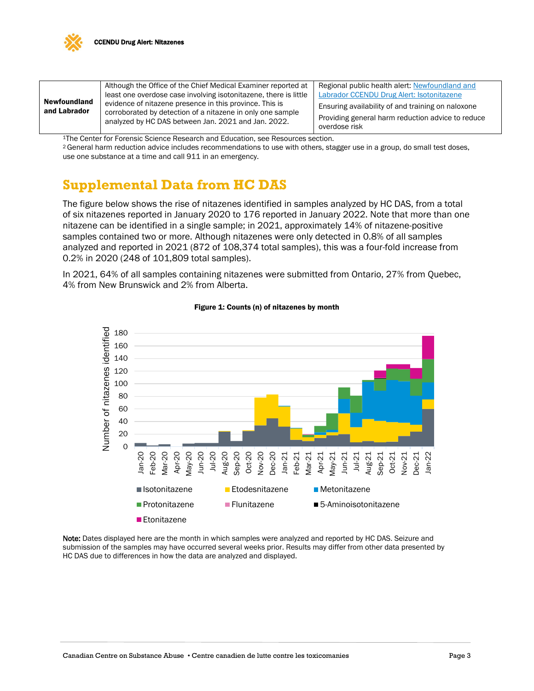

| <b>Newfoundland</b><br>and Labrador | Although the Office of the Chief Medical Examiner reported at                                                                                                                | Regional public health alert: Newfoundland and                                                                          |
|-------------------------------------|------------------------------------------------------------------------------------------------------------------------------------------------------------------------------|-------------------------------------------------------------------------------------------------------------------------|
|                                     | least one overdose case involving isotonitazene, there is little                                                                                                             | Labrador CCENDU Drug Alert: Isotonitazene                                                                               |
|                                     | evidence of nitazene presence in this province. This is<br>corroborated by detection of a nitazene in only one sample<br>analyzed by HC DAS between Jan. 2021 and Jan. 2022. | Ensuring availability of and training on naloxone<br>Providing general harm reduction advice to reduce<br>overdose risk |

1The Center for Forensic Science Research and Education, see Resources section.

<sup>2</sup> General harm reduction advice includes recommendations to use with others, stagger use in a group, do small test doses, use one substance at a time and call 911 in an emergency.

#### **Supplemental Data from HC DAS**

The figure below shows the rise of nitazenes identified in samples analyzed by HC DAS, from a total of six nitazenes reported in January 2020 to 176 reported in January 2022. Note that more than one nitazene can be identified in a single sample; in 2021, approximately 14% of nitazene-positive samples contained two or more. Although nitazenes were only detected in 0.8% of all samples analyzed and reported in 2021 (872 of 108,374 total samples), this was a four-fold increase from 0.2% in 2020 (248 of 101,809 total samples).

In 2021, 64% of all samples containing nitazenes were submitted from Ontario, 27% from Quebec, 4% from New Brunswick and 2% from Alberta.



#### Figure 1: Counts (n) of nitazenes by month

Note: Dates displayed here are the month in which samples were analyzed and reported by HC DAS. Seizure and submission of the samples may have occurred several weeks prior. Results may differ from other data presented by HC DAS due to differences in how the data are analyzed and displayed.